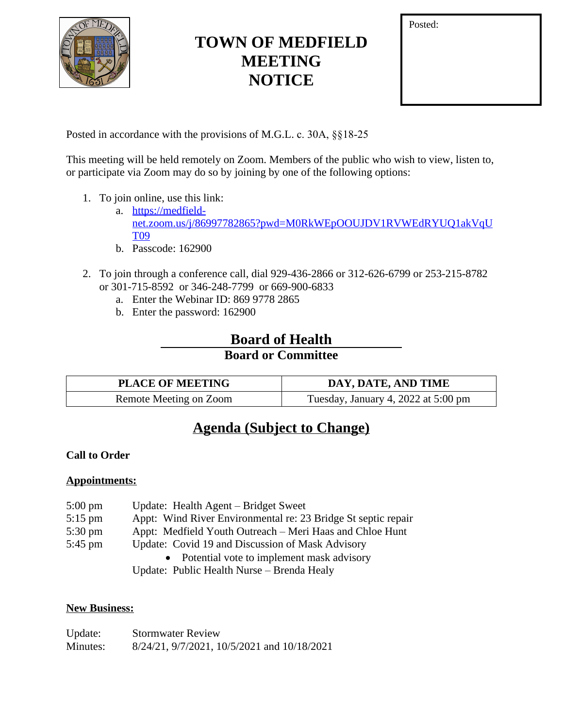

# **TOWN OF MEDFIELD MEETING NOTICE**

| Posted: |  |  |
|---------|--|--|
|         |  |  |
|         |  |  |
|         |  |  |

Posted in accordance with the provisions of M.G.L. c. 30A, §§18-25

This meeting will be held remotely on Zoom. Members of the public who wish to view, listen to, or participate via Zoom may do so by joining by one of the following options:

- 1. To join online, use this link:
	- a. [https://medfield](https://medfield-net.zoom.us/j/86997782865?pwd=M0RkWEpOOUJDV1RVWEdRYUQ1akVqUT09)net.zoom.us/j/86997782865?pwd=M0RkWEpOOUJDV1RVWEdRYUQ1akVqU T09
	- b. Passcode: 162900
- 2. To join through a conference call, dial 929-436-2866 or 312-626-6799 or 253-215-8782 or 301-715-8592 or 346-248-7799 or 669-900-6833
	- a. Enter the Webinar ID: 869 9778 2865
	- b. Enter the password: 162900

## **Board of Health**

### **Board or Committee**

| <b>PLACE OF MEETING</b> | DAY, DATE, AND TIME                 |
|-------------------------|-------------------------------------|
| Remote Meeting on Zoom  | Tuesday, January 4, 2022 at 5:00 pm |

## **Agenda (Subject to Change)**

### **Call to Order**

#### **Appointments:**

| $5:00 \text{ pm}$ | Update: Health Agent – Bridget Sweet                          |
|-------------------|---------------------------------------------------------------|
| $5:15$ pm         | Appt: Wind River Environmental re: 23 Bridge St septic repair |
| $5:30 \text{ pm}$ | Appt: Medfield Youth Outreach – Meri Haas and Chloe Hunt      |
| $5:45$ pm         | Update: Covid 19 and Discussion of Mask Advisory              |
|                   | Potential vote to implement mask advisory                     |
|                   | Update: Public Health Nurse – Brenda Healy                    |

#### **New Business:**

| Update:  | <b>Stormwater Review</b>                    |
|----------|---------------------------------------------|
| Minutes: | 8/24/21, 9/7/2021, 10/5/2021 and 10/18/2021 |